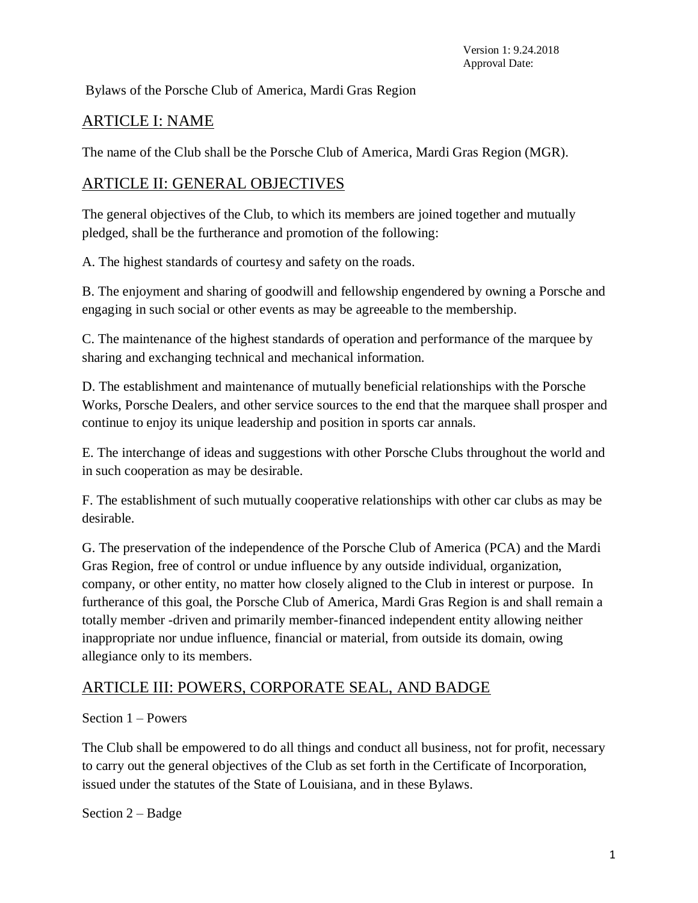Bylaws of the Porsche Club of America, Mardi Gras Region

# ARTICLE I: NAME

The name of the Club shall be the Porsche Club of America, Mardi Gras Region (MGR).

## ARTICLE II: GENERAL OBJECTIVES

The general objectives of the Club, to which its members are joined together and mutually pledged, shall be the furtherance and promotion of the following:

A. The highest standards of courtesy and safety on the roads.

B. The enjoyment and sharing of goodwill and fellowship engendered by owning a Porsche and engaging in such social or other events as may be agreeable to the membership.

C. The maintenance of the highest standards of operation and performance of the marquee by sharing and exchanging technical and mechanical information.

D. The establishment and maintenance of mutually beneficial relationships with the Porsche Works, Porsche Dealers, and other service sources to the end that the marquee shall prosper and continue to enjoy its unique leadership and position in sports car annals.

E. The interchange of ideas and suggestions with other Porsche Clubs throughout the world and in such cooperation as may be desirable.

F. The establishment of such mutually cooperative relationships with other car clubs as may be desirable.

G. The preservation of the independence of the Porsche Club of America (PCA) and the Mardi Gras Region, free of control or undue influence by any outside individual, organization, company, or other entity, no matter how closely aligned to the Club in interest or purpose. In furtherance of this goal, the Porsche Club of America, Mardi Gras Region is and shall remain a totally member -driven and primarily member-financed independent entity allowing neither inappropriate nor undue influence, financial or material, from outside its domain, owing allegiance only to its members.

# ARTICLE III: POWERS, CORPORATE SEAL, AND BADGE

Section 1 – Powers

The Club shall be empowered to do all things and conduct all business, not for profit, necessary to carry out the general objectives of the Club as set forth in the Certificate of Incorporation, issued under the statutes of the State of Louisiana, and in these Bylaws.

Section 2 – Badge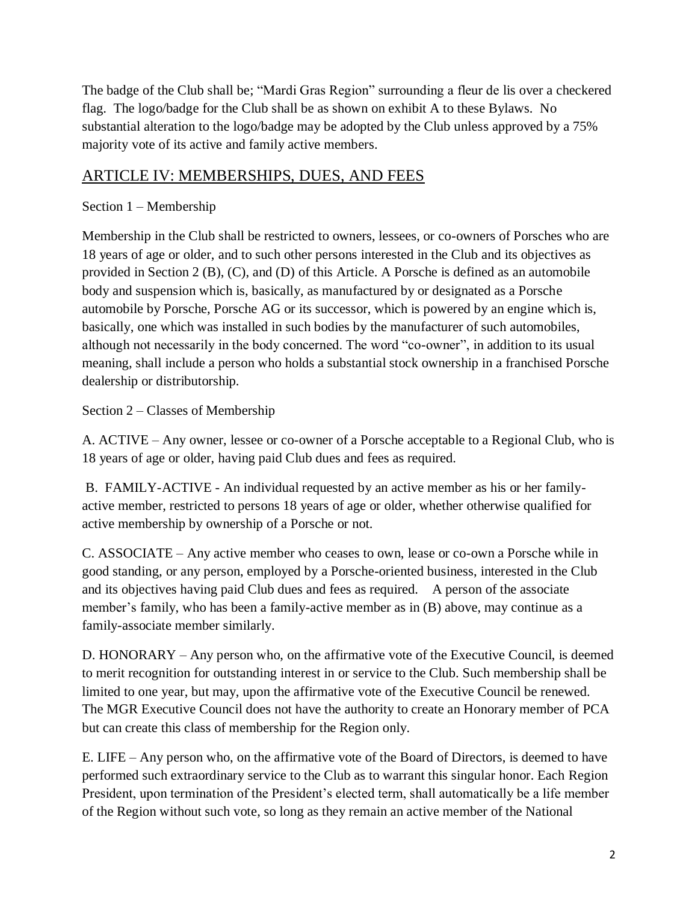The badge of the Club shall be; "Mardi Gras Region" surrounding a fleur de lis over a checkered flag. The logo/badge for the Club shall be as shown on exhibit A to these Bylaws. No substantial alteration to the logo/badge may be adopted by the Club unless approved by a 75% majority vote of its active and family active members.

# ARTICLE IV: MEMBERSHIPS, DUES, AND FEES

## Section 1 – Membership

Membership in the Club shall be restricted to owners, lessees, or co-owners of Porsches who are 18 years of age or older, and to such other persons interested in the Club and its objectives as provided in Section 2 (B),  $(C)$ , and  $(D)$  of this Article. A Porsche is defined as an automobile body and suspension which is, basically, as manufactured by or designated as a Porsche automobile by Porsche, Porsche AG or its successor, which is powered by an engine which is, basically, one which was installed in such bodies by the manufacturer of such automobiles, although not necessarily in the body concerned. The word "co-owner", in addition to its usual meaning, shall include a person who holds a substantial stock ownership in a franchised Porsche dealership or distributorship.

Section 2 – Classes of Membership

A. ACTIVE – Any owner, lessee or co-owner of a Porsche acceptable to a Regional Club, who is 18 years of age or older, having paid Club dues and fees as required.

B. FAMILY-ACTIVE - An individual requested by an active member as his or her familyactive member, restricted to persons 18 years of age or older, whether otherwise qualified for active membership by ownership of a Porsche or not.

C. ASSOCIATE – Any active member who ceases to own, lease or co-own a Porsche while in good standing, or any person, employed by a Porsche-oriented business, interested in the Club and its objectives having paid Club dues and fees as required. A person of the associate member's family, who has been a family-active member as in (B) above, may continue as a family-associate member similarly.

D. HONORARY – Any person who, on the affirmative vote of the Executive Council, is deemed to merit recognition for outstanding interest in or service to the Club. Such membership shall be limited to one year, but may, upon the affirmative vote of the Executive Council be renewed. The MGR Executive Council does not have the authority to create an Honorary member of PCA but can create this class of membership for the Region only.

E. LIFE – Any person who, on the affirmative vote of the Board of Directors, is deemed to have performed such extraordinary service to the Club as to warrant this singular honor. Each Region President, upon termination of the President's elected term, shall automatically be a life member of the Region without such vote, so long as they remain an active member of the National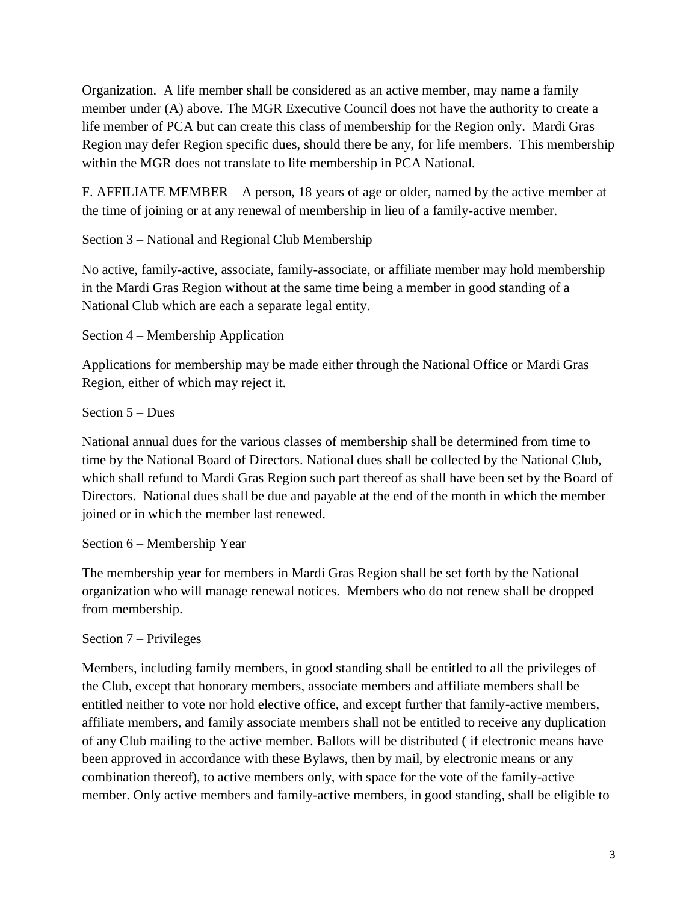Organization. A life member shall be considered as an active member, may name a family member under (A) above. The MGR Executive Council does not have the authority to create a life member of PCA but can create this class of membership for the Region only. Mardi Gras Region may defer Region specific dues, should there be any, for life members. This membership within the MGR does not translate to life membership in PCA National.

F. AFFILIATE MEMBER – A person, 18 years of age or older, named by the active member at the time of joining or at any renewal of membership in lieu of a family-active member.

Section 3 – National and Regional Club Membership

No active, family-active, associate, family-associate, or affiliate member may hold membership in the Mardi Gras Region without at the same time being a member in good standing of a National Club which are each a separate legal entity.

Section 4 – Membership Application

Applications for membership may be made either through the National Office or Mardi Gras Region, either of which may reject it.

Section 5 – Dues

National annual dues for the various classes of membership shall be determined from time to time by the National Board of Directors. National dues shall be collected by the National Club, which shall refund to Mardi Gras Region such part thereof as shall have been set by the Board of Directors. National dues shall be due and payable at the end of the month in which the member joined or in which the member last renewed.

Section 6 – Membership Year

The membership year for members in Mardi Gras Region shall be set forth by the National organization who will manage renewal notices. Members who do not renew shall be dropped from membership.

Section 7 – Privileges

Members, including family members, in good standing shall be entitled to all the privileges of the Club, except that honorary members, associate members and affiliate members shall be entitled neither to vote nor hold elective office, and except further that family-active members, affiliate members, and family associate members shall not be entitled to receive any duplication of any Club mailing to the active member. Ballots will be distributed ( if electronic means have been approved in accordance with these Bylaws, then by mail, by electronic means or any combination thereof), to active members only, with space for the vote of the family-active member. Only active members and family-active members, in good standing, shall be eligible to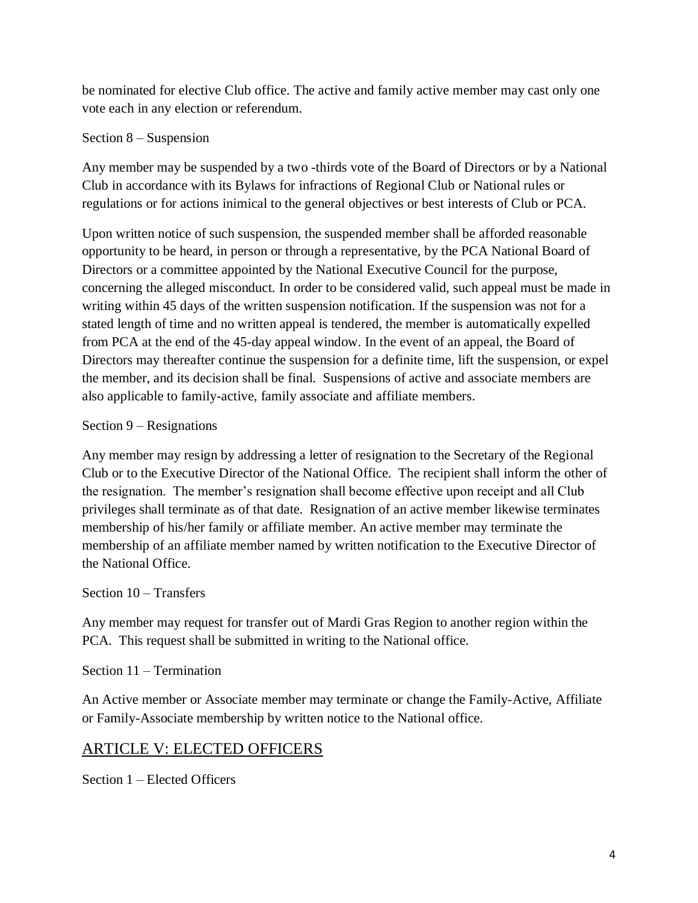be nominated for elective Club office. The active and family active member may cast only one vote each in any election or referendum.

#### Section 8 – Suspension

Any member may be suspended by a two -thirds vote of the Board of Directors or by a National Club in accordance with its Bylaws for infractions of Regional Club or National rules or regulations or for actions inimical to the general objectives or best interests of Club or PCA.

Upon written notice of such suspension, the suspended member shall be afforded reasonable opportunity to be heard, in person or through a representative, by the PCA National Board of Directors or a committee appointed by the National Executive Council for the purpose, concerning the alleged misconduct. In order to be considered valid, such appeal must be made in writing within 45 days of the written suspension notification. If the suspension was not for a stated length of time and no written appeal is tendered, the member is automatically expelled from PCA at the end of the 45-day appeal window. In the event of an appeal, the Board of Directors may thereafter continue the suspension for a definite time, lift the suspension, or expel the member, and its decision shall be final. Suspensions of active and associate members are also applicable to family-active, family associate and affiliate members.

### Section 9 – Resignations

Any member may resign by addressing a letter of resignation to the Secretary of the Regional Club or to the Executive Director of the National Office. The recipient shall inform the other of the resignation. The member's resignation shall become effective upon receipt and all Club privileges shall terminate as of that date. Resignation of an active member likewise terminates membership of his/her family or affiliate member. An active member may terminate the membership of an affiliate member named by written notification to the Executive Director of the National Office.

#### Section 10 – Transfers

Any member may request for transfer out of Mardi Gras Region to another region within the PCA. This request shall be submitted in writing to the National office.

### Section 11 – Termination

An Active member or Associate member may terminate or change the Family-Active, Affiliate or Family-Associate membership by written notice to the National office.

## ARTICLE V: ELECTED OFFICERS

Section 1 – Elected Officers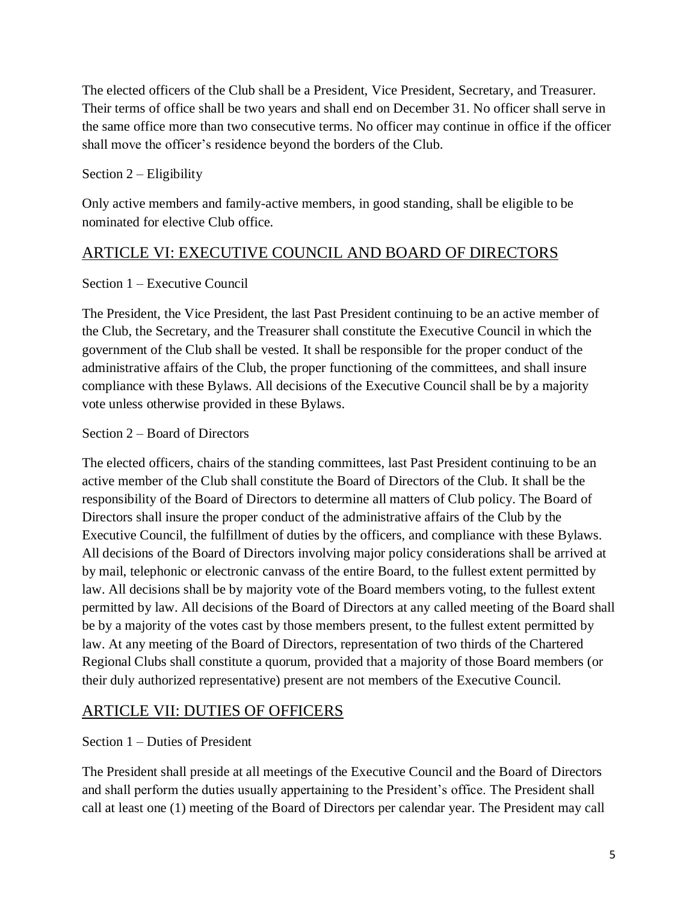The elected officers of the Club shall be a President, Vice President, Secretary, and Treasurer. Their terms of office shall be two years and shall end on December 31. No officer shall serve in the same office more than two consecutive terms. No officer may continue in office if the officer shall move the officer's residence beyond the borders of the Club.

### Section 2 – Eligibility

Only active members and family-active members, in good standing, shall be eligible to be nominated for elective Club office.

# ARTICLE VI: EXECUTIVE COUNCIL AND BOARD OF DIRECTORS

### Section 1 – Executive Council

The President, the Vice President, the last Past President continuing to be an active member of the Club, the Secretary, and the Treasurer shall constitute the Executive Council in which the government of the Club shall be vested. It shall be responsible for the proper conduct of the administrative affairs of the Club, the proper functioning of the committees, and shall insure compliance with these Bylaws. All decisions of the Executive Council shall be by a majority vote unless otherwise provided in these Bylaws.

### Section 2 – Board of Directors

The elected officers, chairs of the standing committees, last Past President continuing to be an active member of the Club shall constitute the Board of Directors of the Club. It shall be the responsibility of the Board of Directors to determine all matters of Club policy. The Board of Directors shall insure the proper conduct of the administrative affairs of the Club by the Executive Council, the fulfillment of duties by the officers, and compliance with these Bylaws. All decisions of the Board of Directors involving major policy considerations shall be arrived at by mail, telephonic or electronic canvass of the entire Board, to the fullest extent permitted by law. All decisions shall be by majority vote of the Board members voting, to the fullest extent permitted by law. All decisions of the Board of Directors at any called meeting of the Board shall be by a majority of the votes cast by those members present, to the fullest extent permitted by law. At any meeting of the Board of Directors, representation of two thirds of the Chartered Regional Clubs shall constitute a quorum, provided that a majority of those Board members (or their duly authorized representative) present are not members of the Executive Council.

# ARTICLE VII: DUTIES OF OFFICERS

#### Section 1 – Duties of President

The President shall preside at all meetings of the Executive Council and the Board of Directors and shall perform the duties usually appertaining to the President's office. The President shall call at least one (1) meeting of the Board of Directors per calendar year. The President may call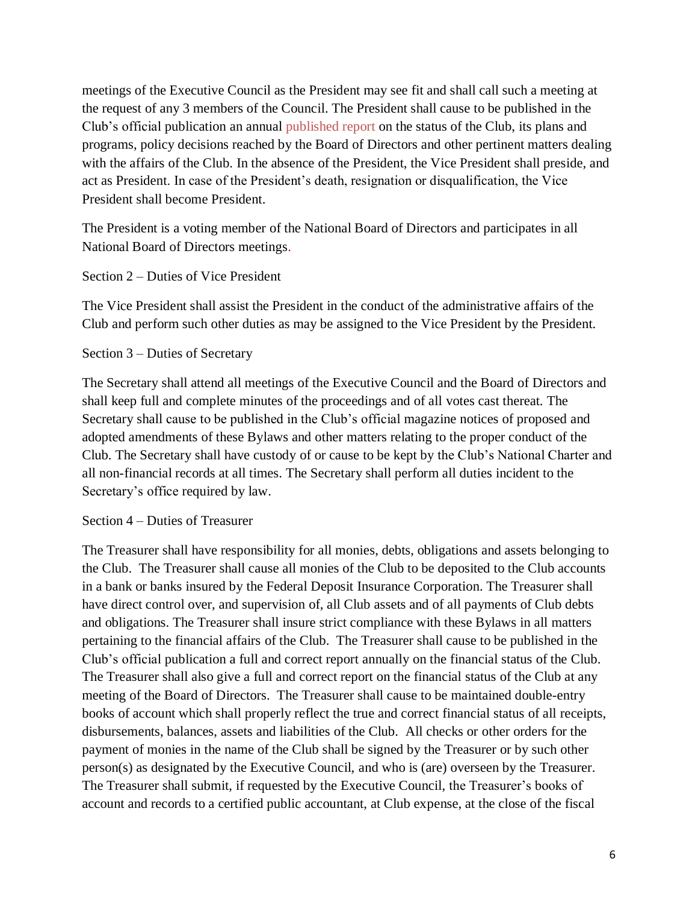meetings of the Executive Council as the President may see fit and shall call such a meeting at the request of any 3 members of the Council. The President shall cause to be published in the Club's official publication an annual published report on the status of the Club, its plans and programs, policy decisions reached by the Board of Directors and other pertinent matters dealing with the affairs of the Club. In the absence of the President, the Vice President shall preside, and act as President. In case of the President's death, resignation or disqualification, the Vice President shall become President.

The President is a voting member of the National Board of Directors and participates in all National Board of Directors meetings.

Section 2 – Duties of Vice President

The Vice President shall assist the President in the conduct of the administrative affairs of the Club and perform such other duties as may be assigned to the Vice President by the President.

Section 3 – Duties of Secretary

The Secretary shall attend all meetings of the Executive Council and the Board of Directors and shall keep full and complete minutes of the proceedings and of all votes cast thereat. The Secretary shall cause to be published in the Club's official magazine notices of proposed and adopted amendments of these Bylaws and other matters relating to the proper conduct of the Club. The Secretary shall have custody of or cause to be kept by the Club's National Charter and all non-financial records at all times. The Secretary shall perform all duties incident to the Secretary's office required by law.

Section 4 – Duties of Treasurer

The Treasurer shall have responsibility for all monies, debts, obligations and assets belonging to the Club. The Treasurer shall cause all monies of the Club to be deposited to the Club accounts in a bank or banks insured by the Federal Deposit Insurance Corporation. The Treasurer shall have direct control over, and supervision of, all Club assets and of all payments of Club debts and obligations. The Treasurer shall insure strict compliance with these Bylaws in all matters pertaining to the financial affairs of the Club. The Treasurer shall cause to be published in the Club's official publication a full and correct report annually on the financial status of the Club. The Treasurer shall also give a full and correct report on the financial status of the Club at any meeting of the Board of Directors. The Treasurer shall cause to be maintained double-entry books of account which shall properly reflect the true and correct financial status of all receipts, disbursements, balances, assets and liabilities of the Club. All checks or other orders for the payment of monies in the name of the Club shall be signed by the Treasurer or by such other person(s) as designated by the Executive Council, and who is (are) overseen by the Treasurer. The Treasurer shall submit, if requested by the Executive Council, the Treasurer's books of account and records to a certified public accountant, at Club expense, at the close of the fiscal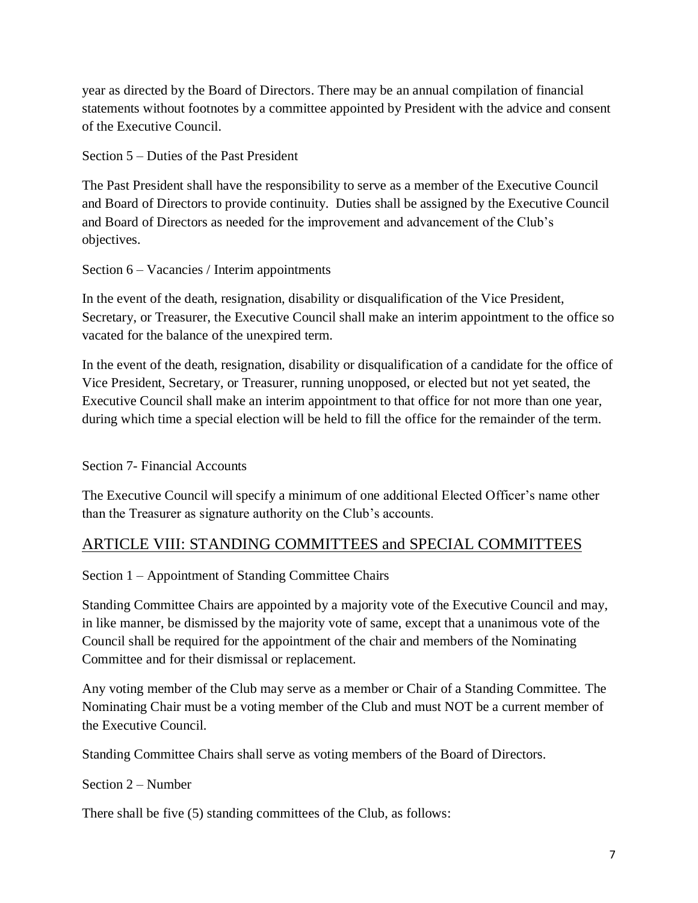year as directed by the Board of Directors. There may be an annual compilation of financial statements without footnotes by a committee appointed by President with the advice and consent of the Executive Council.

Section 5 – Duties of the Past President

The Past President shall have the responsibility to serve as a member of the Executive Council and Board of Directors to provide continuity. Duties shall be assigned by the Executive Council and Board of Directors as needed for the improvement and advancement of the Club's objectives.

Section 6 – Vacancies / Interim appointments

In the event of the death, resignation, disability or disqualification of the Vice President, Secretary, or Treasurer, the Executive Council shall make an interim appointment to the office so vacated for the balance of the unexpired term.

In the event of the death, resignation, disability or disqualification of a candidate for the office of Vice President, Secretary, or Treasurer, running unopposed, or elected but not yet seated, the Executive Council shall make an interim appointment to that office for not more than one year, during which time a special election will be held to fill the office for the remainder of the term.

Section 7- Financial Accounts

The Executive Council will specify a minimum of one additional Elected Officer's name other than the Treasurer as signature authority on the Club's accounts.

# ARTICLE VIII: STANDING COMMITTEES and SPECIAL COMMITTEES

Section 1 – Appointment of Standing Committee Chairs

Standing Committee Chairs are appointed by a majority vote of the Executive Council and may, in like manner, be dismissed by the majority vote of same, except that a unanimous vote of the Council shall be required for the appointment of the chair and members of the Nominating Committee and for their dismissal or replacement.

Any voting member of the Club may serve as a member or Chair of a Standing Committee. The Nominating Chair must be a voting member of the Club and must NOT be a current member of the Executive Council.

Standing Committee Chairs shall serve as voting members of the Board of Directors.

Section 2 – Number

There shall be five (5) standing committees of the Club, as follows: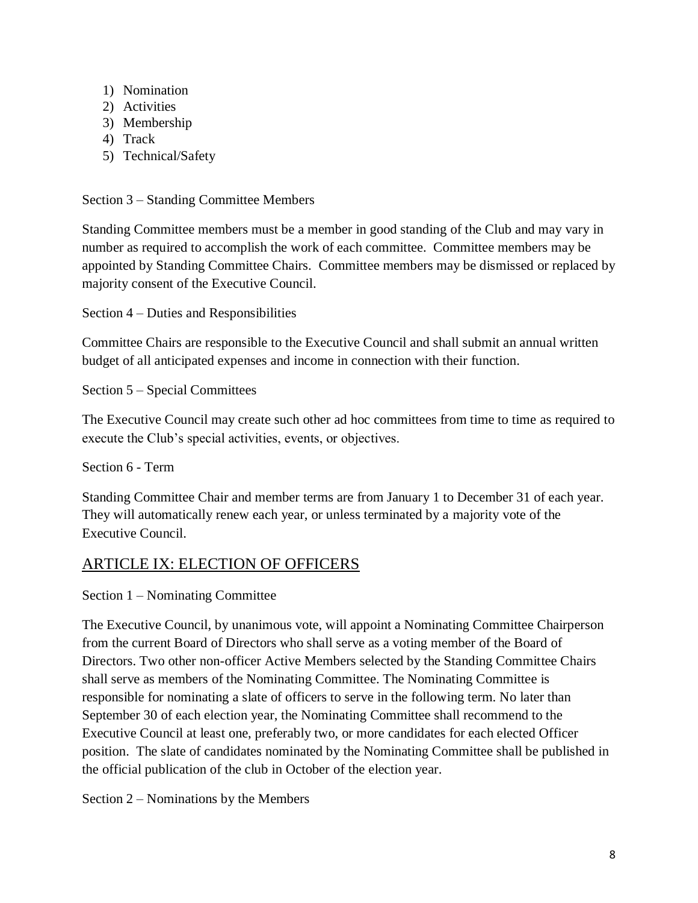- 1) Nomination
- 2) Activities
- 3) Membership
- 4) Track
- 5) Technical/Safety

Section 3 – Standing Committee Members

Standing Committee members must be a member in good standing of the Club and may vary in number as required to accomplish the work of each committee. Committee members may be appointed by Standing Committee Chairs. Committee members may be dismissed or replaced by majority consent of the Executive Council.

Section 4 – Duties and Responsibilities

Committee Chairs are responsible to the Executive Council and shall submit an annual written budget of all anticipated expenses and income in connection with their function.

Section 5 – Special Committees

The Executive Council may create such other ad hoc committees from time to time as required to execute the Club's special activities, events, or objectives.

Section 6 - Term

Standing Committee Chair and member terms are from January 1 to December 31 of each year. They will automatically renew each year, or unless terminated by a majority vote of the Executive Council.

## ARTICLE IX: ELECTION OF OFFICERS

Section 1 – Nominating Committee

The Executive Council, by unanimous vote, will appoint a Nominating Committee Chairperson from the current Board of Directors who shall serve as a voting member of the Board of Directors. Two other non-officer Active Members selected by the Standing Committee Chairs shall serve as members of the Nominating Committee. The Nominating Committee is responsible for nominating a slate of officers to serve in the following term. No later than September 30 of each election year, the Nominating Committee shall recommend to the Executive Council at least one, preferably two, or more candidates for each elected Officer position. The slate of candidates nominated by the Nominating Committee shall be published in the official publication of the club in October of the election year.

Section 2 – Nominations by the Members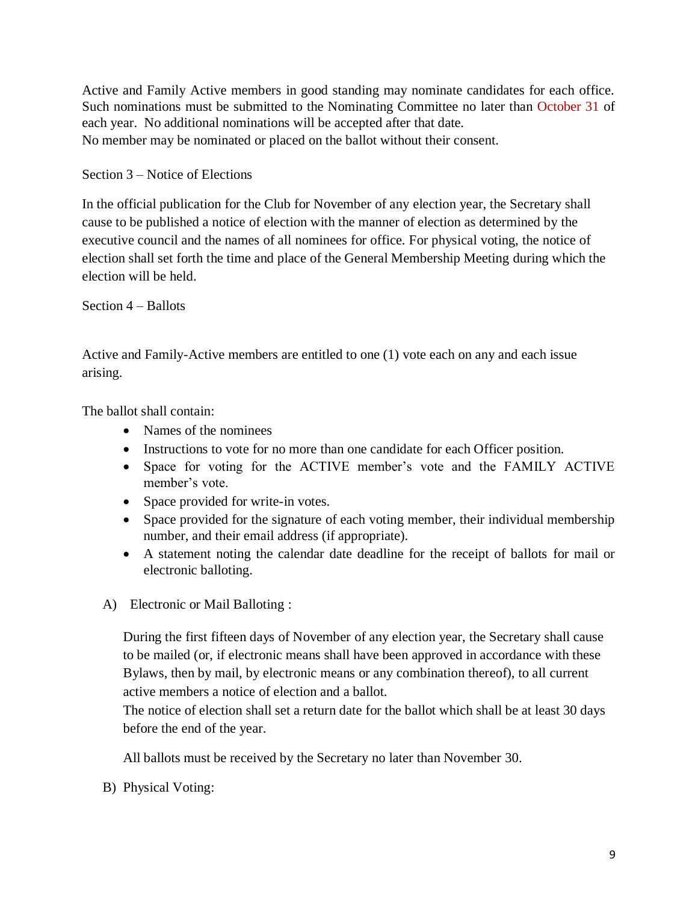Active and Family Active members in good standing may nominate candidates for each office. Such nominations must be submitted to the Nominating Committee no later than October 31 of each year. No additional nominations will be accepted after that date. No member may be nominated or placed on the ballot without their consent.

Section 3 – Notice of Elections

In the official publication for the Club for November of any election year, the Secretary shall cause to be published a notice of election with the manner of election as determined by the executive council and the names of all nominees for office. For physical voting, the notice of election shall set forth the time and place of the General Membership Meeting during which the election will be held.

Section 4 – Ballots

Active and Family-Active members are entitled to one (1) vote each on any and each issue arising.

The ballot shall contain:

- Names of the nominees
- Instructions to vote for no more than one candidate for each Officer position.
- Space for voting for the ACTIVE member's vote and the FAMILY ACTIVE member's vote.
- Space provided for write-in votes.
- Space provided for the signature of each voting member, their individual membership number, and their email address (if appropriate).
- A statement noting the calendar date deadline for the receipt of ballots for mail or electronic balloting.
- A) Electronic or Mail Balloting :

During the first fifteen days of November of any election year, the Secretary shall cause to be mailed (or, if electronic means shall have been approved in accordance with these Bylaws, then by mail, by electronic means or any combination thereof), to all current active members a notice of election and a ballot.

The notice of election shall set a return date for the ballot which shall be at least 30 days before the end of the year.

All ballots must be received by the Secretary no later than November 30.

B) Physical Voting: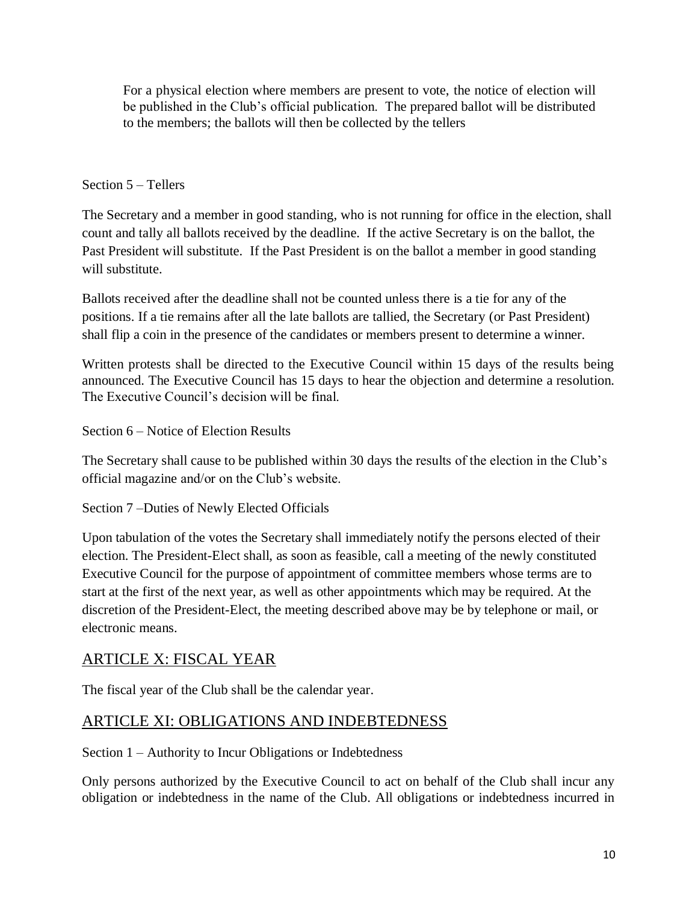For a physical election where members are present to vote, the notice of election will be published in the Club's official publication. The prepared ballot will be distributed to the members; the ballots will then be collected by the tellers

### Section 5 – Tellers

The Secretary and a member in good standing, who is not running for office in the election, shall count and tally all ballots received by the deadline. If the active Secretary is on the ballot, the Past President will substitute. If the Past President is on the ballot a member in good standing will substitute.

Ballots received after the deadline shall not be counted unless there is a tie for any of the positions. If a tie remains after all the late ballots are tallied, the Secretary (or Past President) shall flip a coin in the presence of the candidates or members present to determine a winner.

Written protests shall be directed to the Executive Council within 15 days of the results being announced. The Executive Council has 15 days to hear the objection and determine a resolution. The Executive Council's decision will be final.

Section 6 – Notice of Election Results

The Secretary shall cause to be published within 30 days the results of the election in the Club's official magazine and/or on the Club's website.

Section 7 –Duties of Newly Elected Officials

Upon tabulation of the votes the Secretary shall immediately notify the persons elected of their election. The President-Elect shall, as soon as feasible, call a meeting of the newly constituted Executive Council for the purpose of appointment of committee members whose terms are to start at the first of the next year, as well as other appointments which may be required. At the discretion of the President-Elect, the meeting described above may be by telephone or mail, or electronic means.

## ARTICLE X: FISCAL YEAR

The fiscal year of the Club shall be the calendar year.

## ARTICLE XI: OBLIGATIONS AND INDEBTEDNESS

Section 1 – Authority to Incur Obligations or Indebtedness

Only persons authorized by the Executive Council to act on behalf of the Club shall incur any obligation or indebtedness in the name of the Club. All obligations or indebtedness incurred in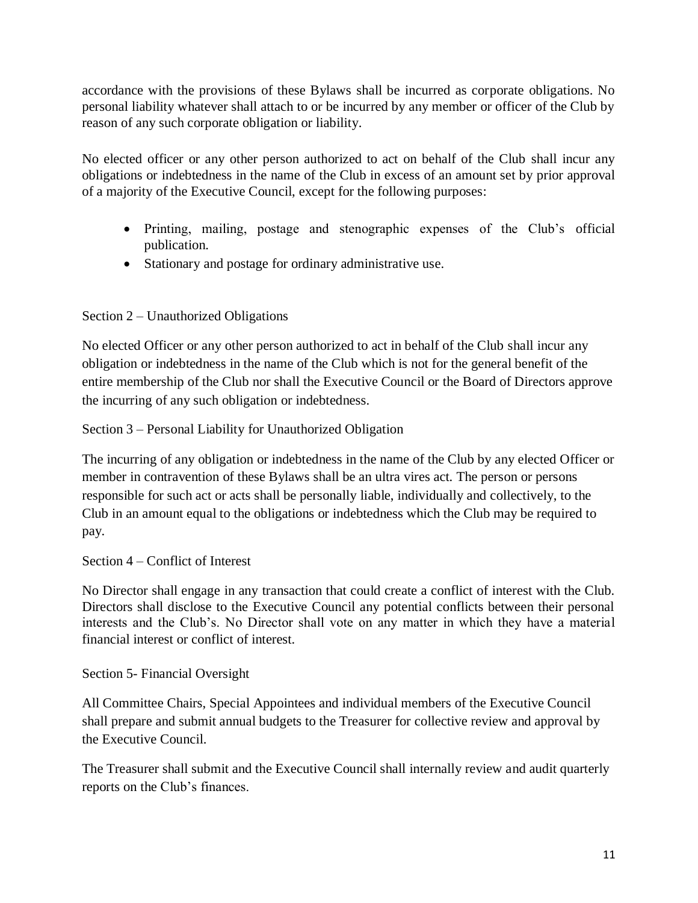accordance with the provisions of these Bylaws shall be incurred as corporate obligations. No personal liability whatever shall attach to or be incurred by any member or officer of the Club by reason of any such corporate obligation or liability.

No elected officer or any other person authorized to act on behalf of the Club shall incur any obligations or indebtedness in the name of the Club in excess of an amount set by prior approval of a majority of the Executive Council, except for the following purposes:

- Printing, mailing, postage and stenographic expenses of the Club's official publication.
- Stationary and postage for ordinary administrative use.

### Section 2 – Unauthorized Obligations

No elected Officer or any other person authorized to act in behalf of the Club shall incur any obligation or indebtedness in the name of the Club which is not for the general benefit of the entire membership of the Club nor shall the Executive Council or the Board of Directors approve the incurring of any such obligation or indebtedness.

Section 3 – Personal Liability for Unauthorized Obligation

The incurring of any obligation or indebtedness in the name of the Club by any elected Officer or member in contravention of these Bylaws shall be an ultra vires act. The person or persons responsible for such act or acts shall be personally liable, individually and collectively, to the Club in an amount equal to the obligations or indebtedness which the Club may be required to pay.

#### Section 4 – Conflict of Interest

No Director shall engage in any transaction that could create a conflict of interest with the Club. Directors shall disclose to the Executive Council any potential conflicts between their personal interests and the Club's. No Director shall vote on any matter in which they have a material financial interest or conflict of interest.

#### Section 5- Financial Oversight

All Committee Chairs, Special Appointees and individual members of the Executive Council shall prepare and submit annual budgets to the Treasurer for collective review and approval by the Executive Council.

The Treasurer shall submit and the Executive Council shall internally review and audit quarterly reports on the Club's finances.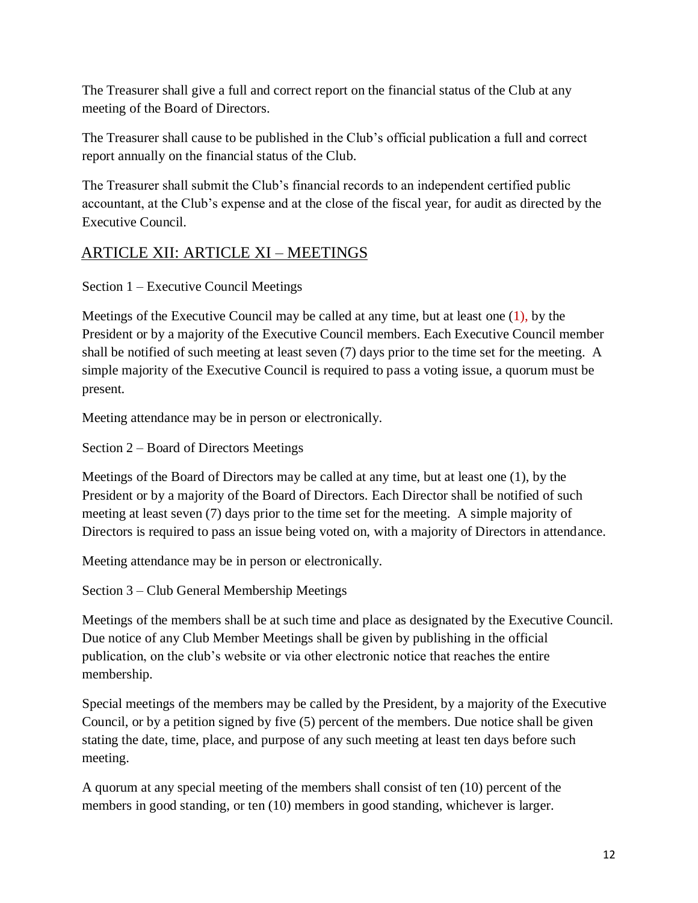The Treasurer shall give a full and correct report on the financial status of the Club at any meeting of the Board of Directors.

The Treasurer shall cause to be published in the Club's official publication a full and correct report annually on the financial status of the Club.

The Treasurer shall submit the Club's financial records to an independent certified public accountant, at the Club's expense and at the close of the fiscal year, for audit as directed by the Executive Council.

# ARTICLE XII: ARTICLE XI – MEETINGS

Section 1 – Executive Council Meetings

Meetings of the Executive Council may be called at any time, but at least one (1), by the President or by a majority of the Executive Council members. Each Executive Council member shall be notified of such meeting at least seven (7) days prior to the time set for the meeting. A simple majority of the Executive Council is required to pass a voting issue, a quorum must be present.

Meeting attendance may be in person or electronically.

Section 2 – Board of Directors Meetings

Meetings of the Board of Directors may be called at any time, but at least one (1), by the President or by a majority of the Board of Directors. Each Director shall be notified of such meeting at least seven (7) days prior to the time set for the meeting. A simple majority of Directors is required to pass an issue being voted on, with a majority of Directors in attendance.

Meeting attendance may be in person or electronically.

Section 3 – Club General Membership Meetings

Meetings of the members shall be at such time and place as designated by the Executive Council. Due notice of any Club Member Meetings shall be given by publishing in the official publication, on the club's website or via other electronic notice that reaches the entire membership.

Special meetings of the members may be called by the President, by a majority of the Executive Council, or by a petition signed by five (5) percent of the members. Due notice shall be given stating the date, time, place, and purpose of any such meeting at least ten days before such meeting.

A quorum at any special meeting of the members shall consist of ten (10) percent of the members in good standing, or ten (10) members in good standing, whichever is larger.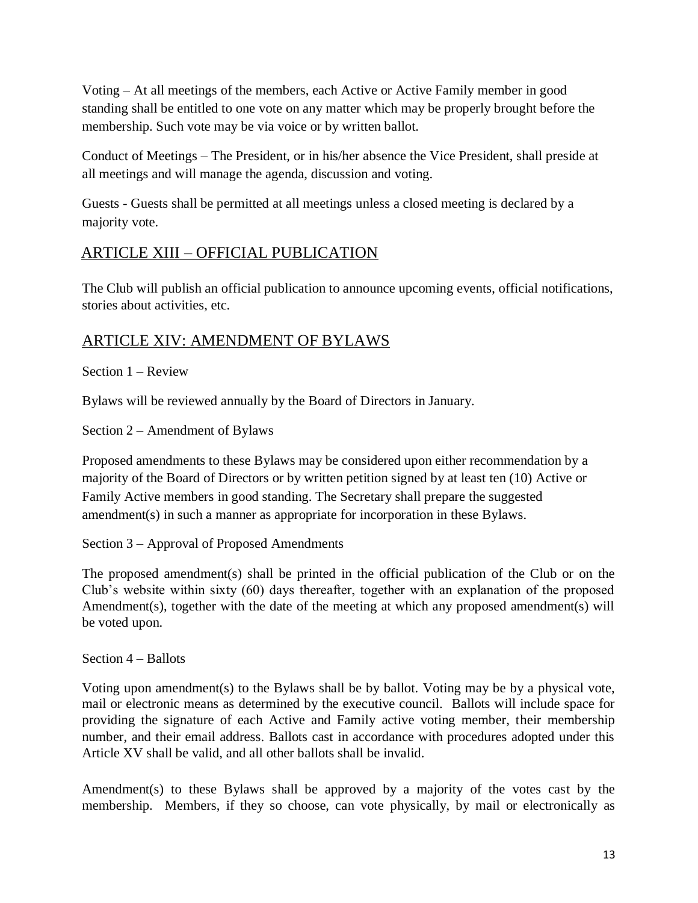Voting – At all meetings of the members, each Active or Active Family member in good standing shall be entitled to one vote on any matter which may be properly brought before the membership. Such vote may be via voice or by written ballot.

Conduct of Meetings – The President, or in his/her absence the Vice President, shall preside at all meetings and will manage the agenda, discussion and voting.

Guests - Guests shall be permitted at all meetings unless a closed meeting is declared by a majority vote.

# ARTICLE XIII – OFFICIAL PUBLICATION

The Club will publish an official publication to announce upcoming events, official notifications, stories about activities, etc.

## ARTICLE XIV: AMENDMENT OF BYLAWS

Section 1 – Review

Bylaws will be reviewed annually by the Board of Directors in January.

Section 2 – Amendment of Bylaws

Proposed amendments to these Bylaws may be considered upon either recommendation by a majority of the Board of Directors or by written petition signed by at least ten (10) Active or Family Active members in good standing. The Secretary shall prepare the suggested amendment(s) in such a manner as appropriate for incorporation in these Bylaws.

Section 3 – Approval of Proposed Amendments

The proposed amendment(s) shall be printed in the official publication of the Club or on the Club's website within sixty (60) days thereafter, together with an explanation of the proposed Amendment(s), together with the date of the meeting at which any proposed amendment(s) will be voted upon.

Section 4 – Ballots

Voting upon amendment(s) to the Bylaws shall be by ballot. Voting may be by a physical vote, mail or electronic means as determined by the executive council. Ballots will include space for providing the signature of each Active and Family active voting member, their membership number, and their email address. Ballots cast in accordance with procedures adopted under this Article XV shall be valid, and all other ballots shall be invalid.

Amendment(s) to these Bylaws shall be approved by a majority of the votes cast by the membership. Members, if they so choose, can vote physically, by mail or electronically as